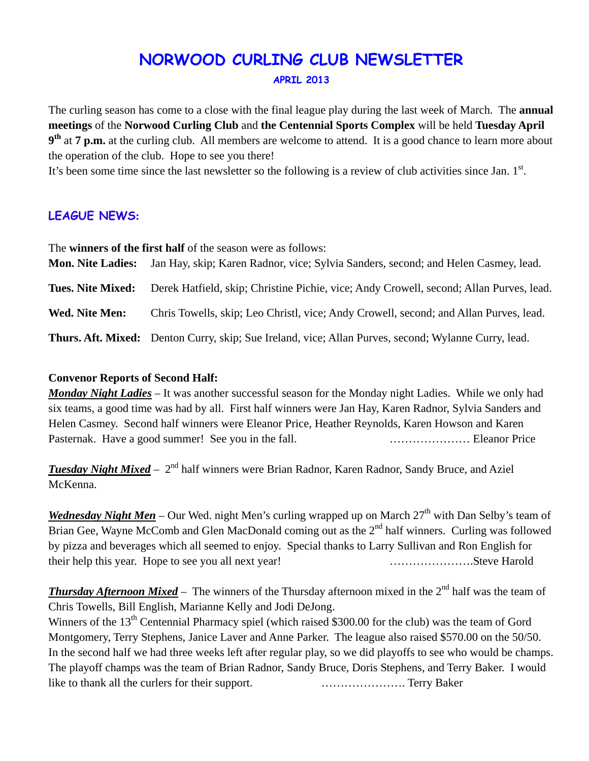# **NORWOOD CURLING CLUB NEWSLETTER**

#### **APRIL 2013**

The curling season has come to a close with the final league play during the last week of March. The **annual meetings** of the **Norwood Curling Club** and **the Centennial Sports Complex** will be held **Tuesday April 9th** at **7 p.m.** at the curling club. All members are welcome to attend. It is a good chance to learn more about the operation of the club. Hope to see you there!

It's been some time since the last newsletter so the following is a review of club activities since Jan.  $1<sup>st</sup>$ .

## **LEAGUE NEWS:**

The **winners of the first half** of the season were as follows: **Mon. Nite Ladies:** Jan Hay, skip; Karen Radnor, vice; Sylvia Sanders, second; and Helen Casmey, lead. **Tues. Nite Mixed:** Derek Hatfield, skip; Christine Pichie, vice; Andy Crowell, second; Allan Purves, lead. **Wed. Nite Men:** Chris Towells, skip; Leo Christl, vice; Andy Crowell, second; and Allan Purves, lead. **Thurs. Aft. Mixed:** Denton Curry, skip; Sue Ireland, vice; Allan Purves, second; Wylanne Curry, lead.

#### **Convenor Reports of Second Half:**

*Monday Night Ladies* – It was another successful season for the Monday night Ladies. While we only had six teams, a good time was had by all. First half winners were Jan Hay, Karen Radnor, Sylvia Sanders and Helen Casmey. Second half winners were Eleanor Price, Heather Reynolds, Karen Howson and Karen Pasternak. Have a good summer! See you in the fall. ………………… Eleanor Price

*Tuesday Night Mixed* –  $2<sup>nd</sup>$  half winners were Brian Radnor, Karen Radnor, Sandy Bruce, and Aziel McKenna.

*Wednesday Night Men* – Our Wed. night Men's curling wrapped up on March 27<sup>th</sup> with Dan Selby's team of Brian Gee, Wayne McComb and Glen MacDonald coming out as the 2<sup>nd</sup> half winners. Curling was followed by pizza and beverages which all seemed to enjoy. Special thanks to Larry Sullivan and Ron English for their help this year. Hope to see you all next year! ………………….Steve Harold

**Thursday Afternoon Mixed** – The winners of the Thursday afternoon mixed in the 2<sup>nd</sup> half was the team of Chris Towells, Bill English, Marianne Kelly and Jodi DeJong.

Winners of the 13<sup>th</sup> Centennial Pharmacy spiel (which raised \$300.00 for the club) was the team of Gord Montgomery, Terry Stephens, Janice Laver and Anne Parker. The league also raised \$570.00 on the 50/50. In the second half we had three weeks left after regular play, so we did playoffs to see who would be champs. The playoff champs was the team of Brian Radnor, Sandy Bruce, Doris Stephens, and Terry Baker. I would like to thank all the curlers for their support. …………………. Terry Baker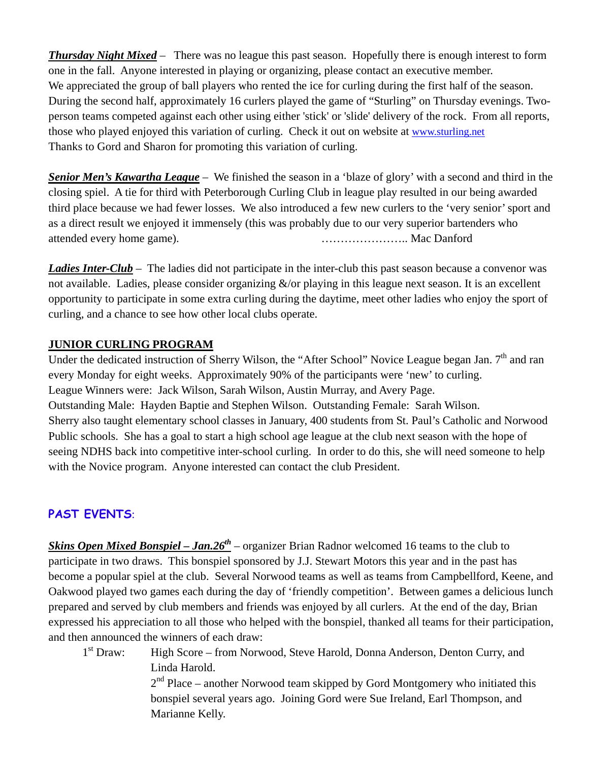*Thursday Night Mixed* – There was no league this past season. Hopefully there is enough interest to form one in the fall. Anyone interested in playing or organizing, please contact an executive member. We appreciated the group of ball players who rented the ice for curling during the first half of the season. During the second half, approximately 16 curlers played the game of "Sturling" on Thursday evenings. Twoperson teams competed against each other using either 'stick' or 'slide' delivery of the rock. From all reports, those who played enjoyed this variation of curling. Check it out on website at [www.sturling.net](http://www.sturling.net/) Thanks to Gord and Sharon for promoting this variation of curling.

*Senior Men's Kawartha League* – We finished the season in a 'blaze of glory' with a second and third in the closing spiel. A tie for third with Peterborough Curling Club in league play resulted in our being awarded third place because we had fewer losses. We also introduced a few new curlers to the 'very senior' sport and as a direct result we enjoyed it immensely (this was probably due to our very superior bartenders who attended every home game). ………………….. Mac Danford

*Ladies Inter-Club* – The ladies did not participate in the inter-club this past season because a convenor was not available. Ladies, please consider organizing  $\&$ /or playing in this league next season. It is an excellent opportunity to participate in some extra curling during the daytime, meet other ladies who enjoy the sport of curling, and a chance to see how other local clubs operate.

#### **JUNIOR CURLING PROGRAM**

Under the dedicated instruction of Sherry Wilson, the "After School" Novice League began Jan. 7<sup>th</sup> and ran every Monday for eight weeks. Approximately 90% of the participants were 'new' to curling. League Winners were: Jack Wilson, Sarah Wilson, Austin Murray, and Avery Page. Outstanding Male: Hayden Baptie and Stephen Wilson. Outstanding Female: Sarah Wilson. Sherry also taught elementary school classes in January, 400 students from St. Paul's Catholic and Norwood Public schools. She has a goal to start a high school age league at the club next season with the hope of seeing NDHS back into competitive inter-school curling. In order to do this, she will need someone to help with the Novice program. Anyone interested can contact the club President.

## **PAST EVENTS**:

*Skins Open Mixed Bonspiel – Jan.26th* – organizer Brian Radnor welcomed 16 teams to the club to participate in two draws. This bonspiel sponsored by J.J. Stewart Motors this year and in the past has become a popular spiel at the club. Several Norwood teams as well as teams from Campbellford, Keene, and Oakwood played two games each during the day of 'friendly competition'. Between games a delicious lunch prepared and served by club members and friends was enjoyed by all curlers. At the end of the day, Brian expressed his appreciation to all those who helped with the bonspiel, thanked all teams for their participation, and then announced the winners of each draw:

1<sup>st</sup> Draw: High Score – from Norwood, Steve Harold, Donna Anderson, Denton Curry, and Linda Harold.

 $2<sup>nd</sup>$  Place – another Norwood team skipped by Gord Montgomery who initiated this bonspiel several years ago. Joining Gord were Sue Ireland, Earl Thompson, and Marianne Kelly.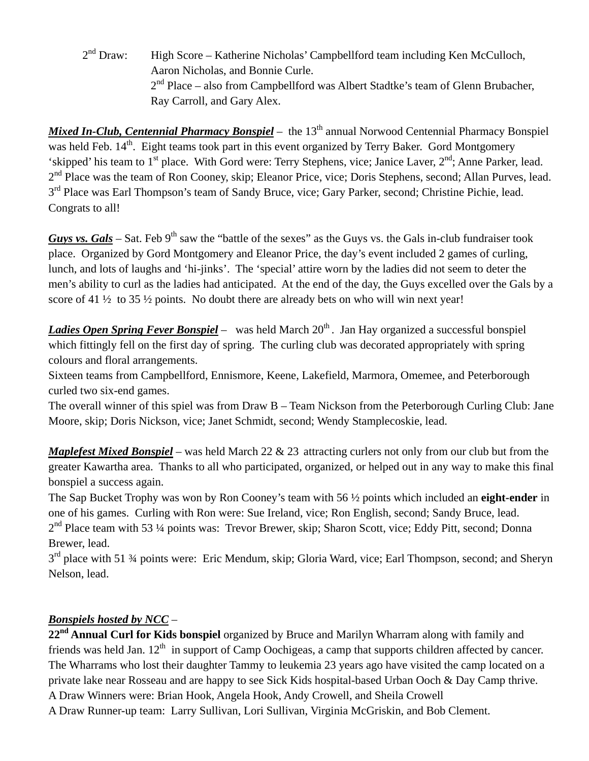$2<sup>nd</sup> Draw:$  High Score – Katherine Nicholas' Campbellford team including Ken McCulloch, Aaron Nicholas, and Bonnie Curle.  $2<sup>nd</sup>$  Place – also from Campbellford was Albert Stadtke's team of Glenn Brubacher, Ray Carroll, and Gary Alex.

*Mixed In-Club, Centennial Pharmacy Bonspiel* – the 13<sup>th</sup> annual Norwood Centennial Pharmacy Bonspiel was held Feb. 14<sup>th</sup>. Eight teams took part in this event organized by Terry Baker. Gord Montgomery 'skipped' his team to  $1<sup>st</sup>$  place. With Gord were: Terry Stephens, vice; Janice Laver,  $2<sup>nd</sup>$ ; Anne Parker, lead. 2<sup>nd</sup> Place was the team of Ron Cooney, skip; Eleanor Price, vice; Doris Stephens, second; Allan Purves, lead.  $3<sup>rd</sup>$  Place was Earl Thompson's team of Sandy Bruce, vice; Gary Parker, second; Christine Pichie, lead. Congrats to all!

*Guys vs. Gals* – Sat. Feb  $9<sup>th</sup>$  saw the "battle of the sexes" as the Guys vs. the Gals in-club fundraiser took place. Organized by Gord Montgomery and Eleanor Price, the day's event included 2 games of curling, lunch, and lots of laughs and 'hi-jinks'. The 'special' attire worn by the ladies did not seem to deter the men's ability to curl as the ladies had anticipated. At the end of the day, the Guys excelled over the Gals by a score of 41 ½ to 35 ½ points. No doubt there are already bets on who will win next year!

*Ladies Open Spring Fever Bonspiel* – was held March 20<sup>th</sup>. Jan Hay organized a successful bonspiel which fittingly fell on the first day of spring. The curling club was decorated appropriately with spring colours and floral arrangements.

Sixteen teams from Campbellford, Ennismore, Keene, Lakefield, Marmora, Omemee, and Peterborough curled two six-end games.

The overall winner of this spiel was from Draw B – Team Nickson from the Peterborough Curling Club: Jane Moore, skip; Doris Nickson, vice; Janet Schmidt, second; Wendy Stamplecoskie, lead.

*Maplefest Mixed Bonspiel* – was held March 22 & 23 attracting curlers not only from our club but from the greater Kawartha area. Thanks to all who participated, organized, or helped out in any way to make this final bonspiel a success again.

The Sap Bucket Trophy was won by Ron Cooney's team with 56 ½ points which included an **eight-ender** in one of his games. Curling with Ron were: Sue Ireland, vice; Ron English, second; Sandy Bruce, lead.  $2<sup>nd</sup>$  Place team with 53 ¼ points was: Trevor Brewer, skip; Sharon Scott, vice; Eddy Pitt, second; Donna Brewer, lead.

 $3<sup>rd</sup>$  place with 51 ¼ points were: Eric Mendum, skip; Gloria Ward, vice; Earl Thompson, second; and Sheryn Nelson, lead.

## *Bonspiels hosted by NCC* –

**22nd Annual Curl for Kids bonspiel** organized by Bruce and Marilyn Wharram along with family and friends was held Jan.  $12<sup>th</sup>$  in support of Camp Oochigeas, a camp that supports children affected by cancer. The Wharrams who lost their daughter Tammy to leukemia 23 years ago have visited the camp located on a private lake near Rosseau and are happy to see Sick Kids hospital-based Urban Ooch & Day Camp thrive. A Draw Winners were: Brian Hook, Angela Hook, Andy Crowell, and Sheila Crowell A Draw Runner-up team: Larry Sullivan, Lori Sullivan, Virginia McGriskin, and Bob Clement.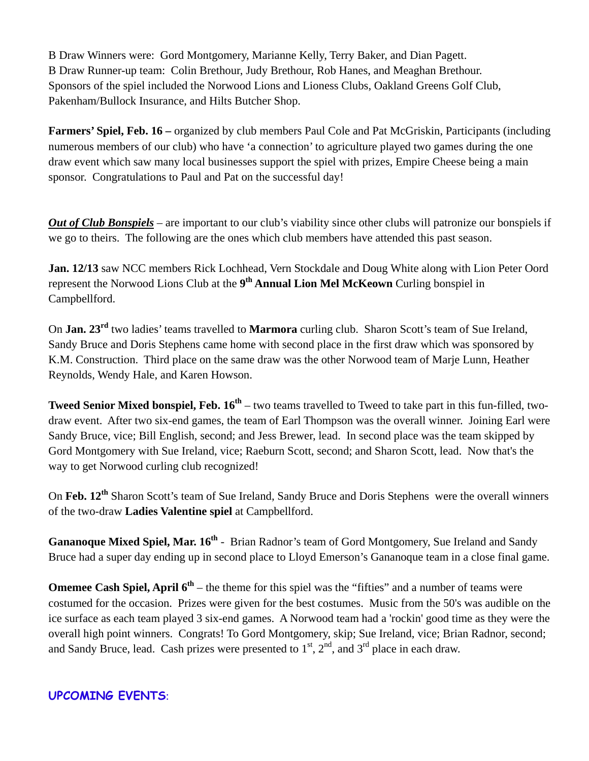B Draw Winners were: Gord Montgomery, Marianne Kelly, Terry Baker, and Dian Pagett. B Draw Runner-up team: Colin Brethour, Judy Brethour, Rob Hanes, and Meaghan Brethour. Sponsors of the spiel included the Norwood Lions and Lioness Clubs, Oakland Greens Golf Club, Pakenham/Bullock Insurance, and Hilts Butcher Shop.

**Farmers' Spiel, Feb. 16 –** organized by club members Paul Cole and Pat McGriskin, Participants (including numerous members of our club) who have 'a connection' to agriculture played two games during the one draw event which saw many local businesses support the spiel with prizes, Empire Cheese being a main sponsor. Congratulations to Paul and Pat on the successful day!

*Out of Club Bonspiels* – are important to our club's viability since other clubs will patronize our bonspiels if we go to theirs. The following are the ones which club members have attended this past season.

**Jan. 12/13** saw NCC members Rick Lochhead, Vern Stockdale and Doug White along with Lion Peter Oord represent the Norwood Lions Club at the **9th Annual Lion Mel McKeown** Curling bonspiel in Campbellford.

On **Jan. 23rd** two ladies' teams travelled to **Marmora** curling club. Sharon Scott's team of Sue Ireland, Sandy Bruce and Doris Stephens came home with second place in the first draw which was sponsored by K.M. Construction. Third place on the same draw was the other Norwood team of Marje Lunn, Heather Reynolds, Wendy Hale, and Karen Howson.

**Tweed Senior Mixed bonspiel, Feb.**  $16^{\text{th}}$  **– two teams travelled to Tweed to take part in this fun-filled, two**draw event. After two six-end games, the team of Earl Thompson was the overall winner. Joining Earl were Sandy Bruce, vice; Bill English, second; and Jess Brewer, lead. In second place was the team skipped by Gord Montgomery with Sue Ireland, vice; Raeburn Scott, second; and Sharon Scott, lead. Now that's the way to get Norwood curling club recognized!

On **Feb. 12th** Sharon Scott's team of Sue Ireland, Sandy Bruce and Doris Stephens were the overall winners of the two-draw **Ladies Valentine spiel** at Campbellford.

**Gananoque Mixed Spiel, Mar. 16th** - Brian Radnor's team of Gord Montgomery, Sue Ireland and Sandy Bruce had a super day ending up in second place to Lloyd Emerson's Gananoque team in a close final game.

**Omemee Cash Spiel, April 6<sup>th</sup>** – the theme for this spiel was the "fifties" and a number of teams were costumed for the occasion. Prizes were given for the best costumes. Music from the 50's was audible on the ice surface as each team played 3 six-end games. A Norwood team had a 'rockin' good time as they were the overall high point winners. Congrats! To Gord Montgomery, skip; Sue Ireland, vice; Brian Radnor, second; and Sandy Bruce, lead. Cash prizes were presented to  $1<sup>st</sup>$ ,  $2<sup>nd</sup>$ , and  $3<sup>rd</sup>$  place in each draw.

# **UPCOMING EVENTS**: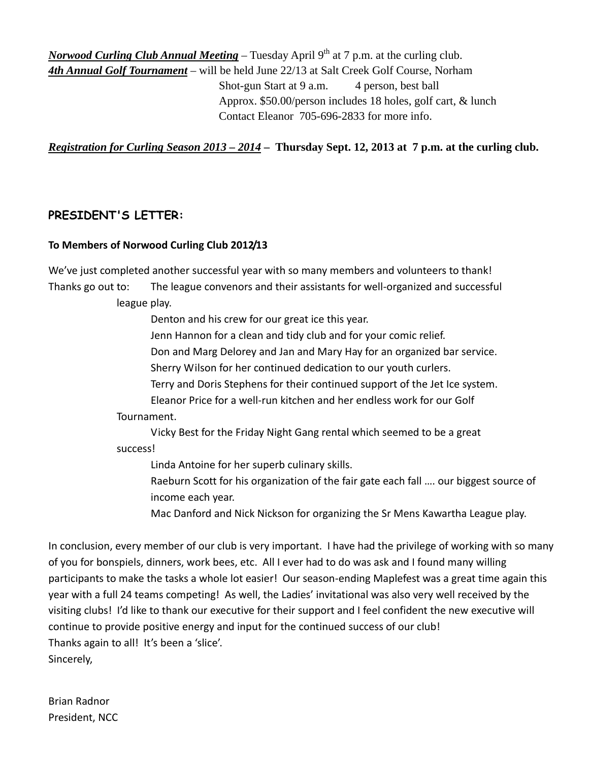*Norwood Curling Club Annual Meeting* – Tuesday April 9<sup>th</sup> at 7 p.m. at the curling club. *4th Annual Golf Tournament* – will be held June 22/13 at Salt Creek Golf Course, Norham Shot-gun Start at 9 a.m. 4 person, best ball Approx. \$50.00/person includes 18 holes, golf cart, & lunch Contact Eleanor 705-696-2833 for more info.

*Registration for Curling Season 2013 – 2014* **– Thursday Sept. 12, 2013 at 7 p.m. at the curling club.**

# **PRESIDENT'S LETTER:**

#### **To Members of Norwood Curling Club 2012/13**

We've just completed another successful year with so many members and volunteers to thank! Thanks go out to: The league convenors and their assistants for well‐organized and successful league play.

Denton and his crew for our great ice this year.

Jenn Hannon for a clean and tidy club and for your comic relief.

Don and Marg Delorey and Jan and Mary Hay for an organized bar service.

Sherry Wilson for her continued dedication to our youth curlers.

Terry and Doris Stephens for their continued support of the Jet Ice system.

Eleanor Price for a well‐run kitchen and her endless work for our Golf

Tournament.

 Vicky Best for the Friday Night Gang rental which seemed to be a great success!

Linda Antoine for her superb culinary skills.

Raeburn Scott for his organization of the fair gate each fall …. our biggest source of income each year.

Mac Danford and Nick Nickson for organizing the Sr Mens Kawartha League play.

In conclusion, every member of our club is very important. I have had the privilege of working with so many of you for bonspiels, dinners, work bees, etc. All I ever had to do was ask and I found many willing participants to make the tasks a whole lot easier! Our season‐ending Maplefest was a great time again this year with a full 24 teams competing! As well, the Ladies' invitational was also very well received by the visiting clubs! I'd like to thank our executive for their support and I feel confident the new executive will continue to provide positive energy and input for the continued success of our club! Thanks again to all! It's been a 'slice'. Sincerely,

Brian Radnor President, NCC